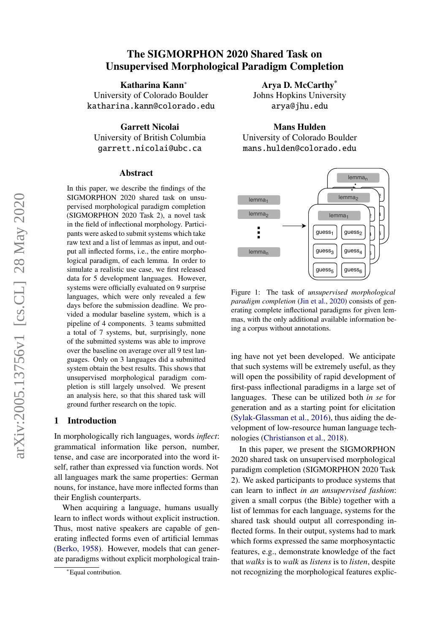# The SIGMORPHON 2020 Shared Task on Unsupervised Morphological Paradigm Completion

Katharina Kann<sup>∗</sup> University of Colorado Boulder katharina.kann@colorado.edu

Garrett Nicolai University of British Columbia garrett.nicolai@ubc.ca

#### Abstract

In this paper, we describe the findings of the SIGMORPHON 2020 shared task on unsupervised morphological paradigm completion (SIGMORPHON 2020 Task 2), a novel task in the field of inflectional morphology. Participants were asked to submit systems which take raw text and a list of lemmas as input, and output all inflected forms, i.e., the entire morphological paradigm, of each lemma. In order to simulate a realistic use case, we first released data for 5 development languages. However, systems were officially evaluated on 9 surprise languages, which were only revealed a few days before the submission deadline. We provided a modular baseline system, which is a pipeline of 4 components. 3 teams submitted a total of 7 systems, but, surprisingly, none of the submitted systems was able to improve over the baseline on average over all 9 test languages. Only on 3 languages did a submitted system obtain the best results. This shows that unsupervised morphological paradigm completion is still largely unsolved. We present an analysis here, so that this shared task will ground further research on the topic.

## 1 Introduction

In morphologically rich languages, words *inflect*: grammatical information like person, number, tense, and case are incorporated into the word itself, rather than expressed via function words. Not all languages mark the same properties: German nouns, for instance, have more inflected forms than their English counterparts.

When acquiring a language, humans usually learn to inflect words without explicit instruction. Thus, most native speakers are capable of generating inflected forms even of artificial lemmas [\(Berko,](#page-9-0) [1958\)](#page-9-0). However, models that can generate paradigms without explicit morphological train-

Arya D. McCarthy\* Johns Hopkins University arya@jhu.edu

Mans Hulden

University of Colorado Boulder mans.hulden@colorado.edu

<span id="page-0-0"></span>

Figure 1: The task of *unsupervised morphological paradigm completion* [\(Jin et al.,](#page-9-1) [2020\)](#page-9-1) consists of generating complete inflectional paradigms for given lemmas, with the only additional available information being a corpus without annotations.

ing have not yet been developed. We anticipate that such systems will be extremely useful, as they will open the possibility of rapid development of first-pass inflectional paradigms in a large set of languages. These can be utilized both *in se* for generation and as a starting point for elicitation [\(Sylak-Glassman et al.,](#page-10-0) [2016\)](#page-10-0), thus aiding the development of low-resource human language technologies [\(Christianson et al.,](#page-9-2) [2018\)](#page-9-2).

In this paper, we present the SIGMORPHON 2020 shared task on unsupervised morphological paradigm completion (SIGMORPHON 2020 Task 2). We asked participants to produce systems that can learn to inflect *in an unsupervised fashion*: given a small corpus (the Bible) together with a list of lemmas for each language, systems for the shared task should output all corresponding inflected forms. In their output, systems had to mark which forms expressed the same morphosyntactic features, e.g., demonstrate knowledge of the fact that *walks* is to *walk* as *listens* is to *listen*, despite not recognizing the morphological features explic-

<sup>∗</sup>Equal contribution.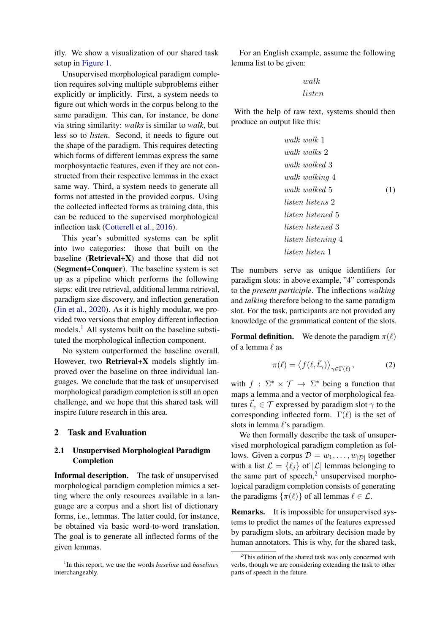itly. We show a visualization of our shared task setup in [Figure 1.](#page-0-0)

Unsupervised morphological paradigm completion requires solving multiple subproblems either explicitly or implicitly. First, a system needs to figure out which words in the corpus belong to the same paradigm. This can, for instance, be done via string similarity: *walks* is similar to *walk*, but less so to *listen*. Second, it needs to figure out the shape of the paradigm. This requires detecting which forms of different lemmas express the same morphosyntactic features, even if they are not constructed from their respective lemmas in the exact same way. Third, a system needs to generate all forms not attested in the provided corpus. Using the collected inflected forms as training data, this can be reduced to the supervised morphological inflection task [\(Cotterell et al.,](#page-9-3) [2016\)](#page-9-3).

This year's submitted systems can be split into two categories: those that built on the baseline ( $Retrieval+X$ ) and those that did not (Segment+Conquer). The baseline system is set up as a pipeline which performs the following steps: edit tree retrieval, additional lemma retrieval, paradigm size discovery, and inflection generation [\(Jin et al.,](#page-9-1) [2020\)](#page-9-1). As it is highly modular, we provided two versions that employ different inflection models.<sup>[1](#page-1-0)</sup> All systems built on the baseline substituted the morphological inflection component.

No system outperformed the baseline overall. However, two Retrieval+X models slightly improved over the baseline on three individual languages. We conclude that the task of unsupervised morphological paradigm completion is still an open challenge, and we hope that this shared task will inspire future research in this area.

### 2 Task and Evaluation

# 2.1 Unsupervised Morphological Paradigm Completion

Informal description. The task of unsupervised morphological paradigm completion mimics a setting where the only resources available in a language are a corpus and a short list of dictionary forms, i.e., lemmas. The latter could, for instance, be obtained via basic word-to-word translation. The goal is to generate all inflected forms of the given lemmas.

For an English example, assume the following lemma list to be given:

# walk listen

With the help of raw text, systems should then produce an output like this:

<span id="page-1-2"></span>
$$
walk \ walk \ 1
$$
\n
$$
walk \ walk \ 2
$$
\n
$$
walk \ walk\ 3
$$
\n
$$
walk \ walk\ 4
$$
\n
$$
walk \ walk\ 4
$$
\n
$$
walk \ walk\ 5
$$
\n
$$
listen \ list\ 2
$$
\n
$$
listen \ list\ 3
$$
\n
$$
listen \ list\ 4
$$
\n
$$
listen \ list\ 1
$$
\n
$$
4
$$
\n
$$
listen \ list\ 2
$$

The numbers serve as unique identifiers for paradigm slots: in above example, "4" corresponds to the *present participle*. The inflections *walking* and *talking* therefore belong to the same paradigm slot. For the task, participants are not provided any knowledge of the grammatical content of the slots.

**Formal definition.** We denote the paradigm  $\pi(\ell)$ of a lemma  $\ell$  as

$$
\pi(\ell) = \left\langle f(\ell, \vec{t}_\gamma) \right\rangle_{\gamma \in \Gamma(\ell)},\tag{2}
$$

with  $f : \Sigma^* \times \mathcal{T} \to \Sigma^*$  being a function that maps a lemma and a vector of morphological features  $\vec{t}_{\gamma} \in \mathcal{T}$  expressed by paradigm slot  $\gamma$  to the corresponding inflected form.  $\Gamma(\ell)$  is the set of slots in lemma  $\ell$ 's paradigm.

We then formally describe the task of unsupervised morphological paradigm completion as follows. Given a corpus  $\mathcal{D} = w_1, \dots, w_{|\mathcal{D}|}$  together with a list  $\mathcal{L} = \{ \ell_i \}$  of  $|\mathcal{L}|$  lemmas belonging to the same part of speech, $2$  unsupervised morphological paradigm completion consists of generating the paradigms  $\{\pi(\ell)\}\$  of all lemmas  $\ell \in \mathcal{L}$ .

Remarks. It is impossible for unsupervised systems to predict the names of the features expressed by paradigm slots, an arbitrary decision made by human annotators. This is why, for the shared task,

<span id="page-1-0"></span><sup>1</sup> In this report, we use the words *baseline* and *baselines* interchangeably.

<span id="page-1-1"></span> $2$ This edition of the shared task was only concerned with verbs, though we are considering extending the task to other parts of speech in the future.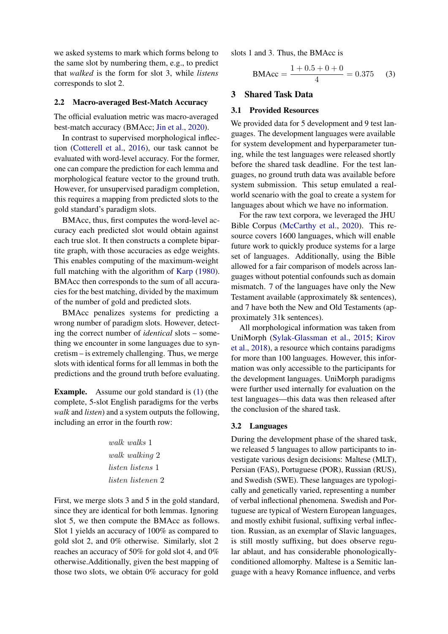we asked systems to mark which forms belong to the same slot by numbering them, e.g., to predict that *walked* is the form for slot 3, while *listens* corresponds to slot 2.

#### 2.2 Macro-averaged Best-Match Accuracy

The official evaluation metric was macro-averaged best-match accuracy (BMAcc; [Jin et al.,](#page-9-1) [2020\)](#page-9-1).

In contrast to supervised morphological inflection [\(Cotterell et al.,](#page-9-3) [2016\)](#page-9-3), our task cannot be evaluated with word-level accuracy. For the former, one can compare the prediction for each lemma and morphological feature vector to the ground truth. However, for unsupervised paradigm completion, this requires a mapping from predicted slots to the gold standard's paradigm slots.

BMAcc, thus, first computes the word-level accuracy each predicted slot would obtain against each true slot. It then constructs a complete bipartite graph, with those accuracies as edge weights. This enables computing of the maximum-weight full matching with the algorithm of [Karp](#page-9-4) [\(1980\)](#page-9-4). BMAcc then corresponds to the sum of all accuracies for the best matching, divided by the maximum of the number of gold and predicted slots.

BMAcc penalizes systems for predicting a wrong number of paradigm slots. However, detecting the correct number of *identical* slots – something we encounter in some languages due to syncretism – is extremely challenging. Thus, we merge slots with identical forms for all lemmas in both the predictions and the ground truth before evaluating.

Example. Assume our gold standard is [\(1\)](#page-1-2) (the complete, 5-slot English paradigms for the verbs *walk* and *listen*) and a system outputs the following, including an error in the fourth row:

> walk walks 1 walk walking 2 listen listens 1 listen listenen 2

First, we merge slots 3 and 5 in the gold standard, since they are identical for both lemmas. Ignoring slot 5, we then compute the BMAcc as follows. Slot 1 yields an accuracy of 100% as compared to gold slot 2, and 0% otherwise. Similarly, slot 2 reaches an accuracy of 50% for gold slot 4, and 0% otherwise.Additionally, given the best mapping of those two slots, we obtain 0% accuracy for gold

slots 1 and 3. Thus, the BMAcc is

$$
BMAcc = \frac{1 + 0.5 + 0 + 0}{4} = 0.375
$$
 (3)

# 3 Shared Task Data

## 3.1 Provided Resources

We provided data for 5 development and 9 test languages. The development languages were available for system development and hyperparameter tuning, while the test languages were released shortly before the shared task deadline. For the test languages, no ground truth data was available before system submission. This setup emulated a realworld scenario with the goal to create a system for languages about which we have no information.

For the raw text corpora, we leveraged the JHU Bible Corpus [\(McCarthy et al.,](#page-10-1) [2020\)](#page-10-1). This resource covers 1600 languages, which will enable future work to quickly produce systems for a large set of languages. Additionally, using the Bible allowed for a fair comparison of models across languages without potential confounds such as domain mismatch. 7 of the languages have only the New Testament available (approximately 8k sentences), and 7 have both the New and Old Testaments (approximately 31k sentences).

All morphological information was taken from UniMorph [\(Sylak-Glassman et al.,](#page-10-2) [2015;](#page-10-2) [Kirov](#page-9-5) [et al.,](#page-9-5) [2018\)](#page-9-5), a resource which contains paradigms for more than 100 languages. However, this information was only accessible to the participants for the development languages. UniMorph paradigms were further used internally for evaluation on the test languages—this data was then released after the conclusion of the shared task.

#### 3.2 Languages

During the development phase of the shared task, we released 5 languages to allow participants to investigate various design decisions: Maltese (MLT), Persian (FAS), Portuguese (POR), Russian (RUS), and Swedish (SWE). These languages are typologically and genetically varied, representing a number of verbal inflectional phenomena. Swedish and Portuguese are typical of Western European languages, and mostly exhibit fusional, suffixing verbal inflection. Russian, as an exemplar of Slavic languages, is still mostly suffixing, but does observe regular ablaut, and has considerable phonologicallyconditioned allomorphy. Maltese is a Semitic language with a heavy Romance influence, and verbs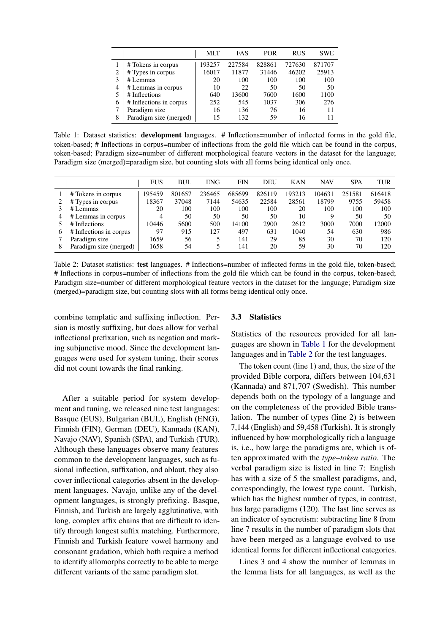<span id="page-3-0"></span>

|   |                         | MLT    | <b>FAS</b> | <b>POR</b> | <b>RUS</b> | <b>SWE</b> |
|---|-------------------------|--------|------------|------------|------------|------------|
|   | # Tokens in corpus      | 193257 | 227584     | 828861     | 727630     | 871707     |
| າ | # Types in corpus       | 16017  | 11877      | 31446      | 46202      | 25913      |
| 3 | $#$ Lemmas              | 20     | 100        | 100        | 100        | 100        |
| 4 | # Lemmas in corpus      | 10     | 22         | 50         | 50         | 50         |
| 5 | # Inflections           | 640    | 13600      | 7600       | 1600       | 1100       |
| 6 | # Inflections in corpus | 252    | 545        | 1037       | 306        | 276        |
| 7 | Paradigm size           | 16     | 136        | 76         | 16         | 11         |
| 8 | Paradigm size (merged)  | 15     | 132        | 59         | 16         | 11         |

Table 1: Dataset statistics: **development** languages. # Inflections=number of inflected forms in the gold file, token-based; # Inflections in corpus=number of inflections from the gold file which can be found in the corpus, token-based; Paradigm size=number of different morphological feature vectors in the dataset for the language; Paradigm size (merged)=paradigm size, but counting slots with all forms being identical only once.

<span id="page-3-1"></span>

|   |                         | <b>EUS</b> | <b>BUL</b> | <b>ENG</b> | FIN    | DEU    | KAN    | <b>NAV</b> | <b>SPA</b> | <b>TUR</b> |
|---|-------------------------|------------|------------|------------|--------|--------|--------|------------|------------|------------|
|   | # Tokens in corpus      | 195459     | 801657     | 236465     | 685699 | 826119 | 193213 | 104631     | 251581     | 616418     |
|   | # Types in corpus       | 18367      | 37048      | 7144       | 54635  | 22584  | 28561  | 18799      | 9755       | 59458      |
|   | # Lemmas                | 20         | 100        | 100        | 100    | 100    | 20     | 100        | 100        | 100        |
|   | # Lemmas in corpus      | 4          | 50         | 50         | 50     | 50     | 10     |            | 50         | 50         |
|   | # Inflections           | 10446      | 5600       | 500        | 14100  | 2900   | 2612   | 3000       | 7000       | 12000      |
| 6 | # Inflections in corpus | -97        | 915        | 127        | 497    | 631    | 1040   | 54         | 630        | 986        |
|   | Paradigm size           | 1659       | 56         |            | 141    | 29     | 85     | 30         | 70         | 120        |
|   | Paradigm size (merged)  | 1658       | 54         |            | 141    | 20     | 59     | 30         | 70         | 120        |

Table 2: Dataset statistics: test languages. # Inflections=number of inflected forms in the gold file, token-based; # Inflections in corpus=number of inflections from the gold file which can be found in the corpus, token-based; Paradigm size=number of different morphological feature vectors in the dataset for the language; Paradigm size (merged)=paradigm size, but counting slots with all forms being identical only once.

combine templatic and suffixing inflection. Persian is mostly suffixing, but does allow for verbal inflectional prefixation, such as negation and marking subjunctive mood. Since the development languages were used for system tuning, their scores did not count towards the final ranking.

After a suitable period for system development and tuning, we released nine test languages: Basque (EUS), Bulgarian (BUL), English (ENG), Finnish (FIN), German (DEU), Kannada (KAN), Navajo (NAV), Spanish (SPA), and Turkish (TUR). Although these languages observe many features common to the development languages, such as fusional inflection, suffixation, and ablaut, they also cover inflectional categories absent in the development languages. Navajo, unlike any of the development languages, is strongly prefixing. Basque, Finnish, and Turkish are largely agglutinative, with long, complex affix chains that are difficult to identify through longest suffix matching. Furthermore, Finnish and Turkish feature vowel harmony and consonant gradation, which both require a method to identify allomorphs correctly to be able to merge different variants of the same paradigm slot.

#### 3.3 Statistics

Statistics of the resources provided for all languages are shown in [Table 1](#page-3-0) for the development languages and in [Table 2](#page-3-1) for the test languages.

The token count (line 1) and, thus, the size of the provided Bible corpora, differs between 104,631 (Kannada) and 871,707 (Swedish). This number depends both on the typology of a language and on the completeness of the provided Bible translation. The number of types (line 2) is between 7,144 (English) and 59,458 (Turkish). It is strongly influenced by how morphologically rich a language is, i.e., how large the paradigms are, which is often approximated with the *type–token ratio*. The verbal paradigm size is listed in line 7: English has with a size of 5 the smallest paradigms, and, correspondingly, the lowest type count. Turkish, which has the highest number of types, in contrast, has large paradigms (120). The last line serves as an indicator of syncretism: subtracting line 8 from line 7 results in the number of paradigm slots that have been merged as a language evolved to use identical forms for different inflectional categories.

Lines 3 and 4 show the number of lemmas in the lemma lists for all languages, as well as the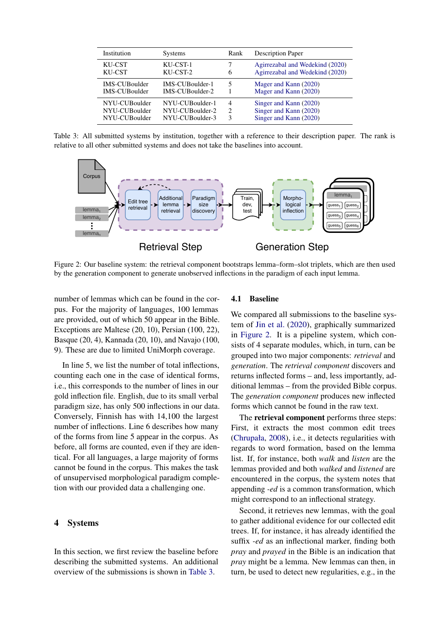<span id="page-4-0"></span>

| Institution          | <b>Systems</b>  | Rank | <b>Description Paper</b>        |
|----------------------|-----------------|------|---------------------------------|
| KU-CST               | KU-CST-1        | 6    | Agirrezabal and Wedekind (2020) |
| KU-CST               | KU-CST-2        |      | Agirrezabal and Wedekind (2020) |
| <b>IMS-CUBoulder</b> | IMS-CUBoulder-1 |      | Mager and Kann (2020)           |
| <b>IMS-CUBoulder</b> | IMS-CUBoulder-2 |      | Mager and Kann (2020)           |
| NYU-CUBoulder        | NYU-CUBoulder-1 | 4    | Singer and Kann (2020)          |
| NYU-CUBoulder        | NYU-CUBoulder-2 | 2    | Singer and Kann (2020)          |
| NYU-CUBoulder        | NYU-CUBoulder-3 | 3    | Singer and Kann (2020)          |

Table 3: All submitted systems by institution, together with a reference to their description paper. The rank is relative to all other submitted systems and does not take the baselines into account.

<span id="page-4-1"></span>

Figure 2: Our baseline system: the retrieval component bootstraps lemma–form–slot triplets, which are then used by the generation component to generate unobserved inflections in the paradigm of each input lemma.

number of lemmas which can be found in the corpus. For the majority of languages, 100 lemmas are provided, out of which 50 appear in the Bible. Exceptions are Maltese (20, 10), Persian (100, 22), Basque (20, 4), Kannada (20, 10), and Navajo (100, 9). These are due to limited UniMorph coverage.

In line 5, we list the number of total inflections, counting each one in the case of identical forms, i.e., this corresponds to the number of lines in our gold inflection file. English, due to its small verbal paradigm size, has only 500 inflections in our data. Conversely, Finnish has with 14,100 the largest number of inflections. Line 6 describes how many of the forms from line 5 appear in the corpus. As before, all forms are counted, even if they are identical. For all languages, a large majority of forms cannot be found in the corpus. This makes the task of unsupervised morphological paradigm completion with our provided data a challenging one.

# 4 Systems

In this section, we first review the baseline before describing the submitted systems. An additional overview of the submissions is shown in [Table 3.](#page-4-0)

#### 4.1 Baseline

We compared all submissions to the baseline system of [Jin et al.](#page-9-1) [\(2020\)](#page-9-1), graphically summarized in [Figure 2.](#page-4-1) It is a pipeline system, which consists of 4 separate modules, which, in turn, can be grouped into two major components: *retrieval* and *generation*. The *retrieval component* discovers and returns inflected forms – and, less importantly, additional lemmas – from the provided Bible corpus. The *generation component* produces new inflected forms which cannot be found in the raw text.

The retrieval component performs three steps: First, it extracts the most common edit trees [\(Chrupała,](#page-9-7) [2008\)](#page-9-7), i.e., it detects regularities with regards to word formation, based on the lemma list. If, for instance, both *walk* and *listen* are the lemmas provided and both *walked* and *listened* are encountered in the corpus, the system notes that appending *-ed* is a common transformation, which might correspond to an inflectional strategy.

Second, it retrieves new lemmas, with the goal to gather additional evidence for our collected edit trees. If, for instance, it has already identified the suffix *-ed* as an inflectional marker, finding both *pray* and *prayed* in the Bible is an indication that *pray* might be a lemma. New lemmas can then, in turn, be used to detect new regularities, e.g., in the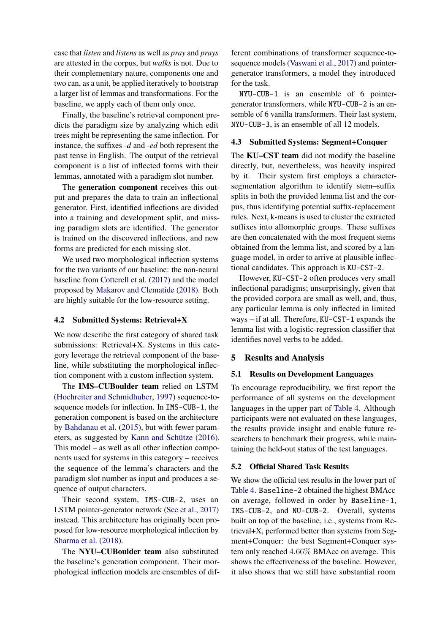case that *listen* and *listens* as well as *pray* and *prays* are attested in the corpus, but *walks* is not. Due to their complementary nature, components one and two can, as a unit, be applied iteratively to bootstrap a larger list of lemmas and transformations. For the baseline, we apply each of them only once.

Finally, the baseline's retrieval component predicts the paradigm size by analyzing which edit trees might be representing the same inflection. For instance, the suffixes *-d* and *-ed* both represent the past tense in English. The output of the retrieval component is a list of inflected forms with their lemmas, annotated with a paradigm slot number.

The generation component receives this output and prepares the data to train an inflectional generator. First, identified inflections are divided into a training and development split, and missing paradigm slots are identified. The generator is trained on the discovered inflections, and new forms are predicted for each missing slot.

We used two morphological inflection systems for the two variants of our baseline: the non-neural baseline from [Cotterell et al.](#page-9-8) [\(2017\)](#page-9-8) and the model proposed by [Makarov and Clematide](#page-10-5) [\(2018\)](#page-10-5). Both are highly suitable for the low-resource setting.

## 4.2 Submitted Systems: Retrieval+X

We now describe the first category of shared task submissions: Retrieval+X. Systems in this category leverage the retrieval component of the baseline, while substituting the morphological inflection component with a custom inflection system.

The IMS–CUBoulder team relied on LSTM [\(Hochreiter and Schmidhuber,](#page-9-9) [1997\)](#page-9-9) sequence-tosequence models for inflection. In IMS-CUB-1, the generation component is based on the architecture by [Bahdanau et al.](#page-9-10) [\(2015\)](#page-9-10), but with fewer parameters, as suggested by Kann and Schütze  $(2016)$ . This model – as well as all other inflection components used for systems in this category – receives the sequence of the lemma's characters and the paradigm slot number as input and produces a sequence of output characters.

Their second system, IMS-CUB-2, uses an LSTM pointer-generator network [\(See et al.,](#page-10-6) [2017\)](#page-10-6) instead. This architecture has originally been proposed for low-resource morphological inflection by [Sharma et al.](#page-10-7) [\(2018\)](#page-10-7).

The NYU–CUBoulder team also substituted the baseline's generation component. Their morphological inflection models are ensembles of dif-

ferent combinations of transformer sequence-tosequence models [\(Vaswani et al.,](#page-11-0) [2017\)](#page-11-0) and pointergenerator transformers, a model they introduced for the task.

NYU-CUB-1 is an ensemble of 6 pointergenerator transformers, while NYU-CUB-2 is an ensemble of 6 vanilla transformers. Their last system, NYU-CUB-3, is an ensemble of all 12 models.

## 4.3 Submitted Systems: Segment+Conquer

The KU–CST team did not modify the baseline directly, but, nevertheless, was heavily inspired by it. Their system first employs a charactersegmentation algorithm to identify stem–suffix splits in both the provided lemma list and the corpus, thus identifying potential suffix-replacement rules. Next, k-means is used to cluster the extracted suffixes into allomorphic groups. These suffixes are then concatenated with the most frequent stems obtained from the lemma list, and scored by a language model, in order to arrive at plausible inflectional candidates. This approach is KU-CST-2.

However, KU-CST-2 often produces very small inflectional paradigms; unsurprisingly, given that the provided corpora are small as well, and, thus, any particular lemma is only inflected in limited ways – if at all. Therefore, KU-CST-1 expands the lemma list with a logistic-regression classifier that identifies novel verbs to be added.

## 5 Results and Analysis

## 5.1 Results on Development Languages

To encourage reproducibility, we first report the performance of all systems on the development languages in the upper part of [Table 4.](#page-6-0) Although participants were not evaluated on these languages, the results provide insight and enable future researchers to benchmark their progress, while maintaining the held-out status of the test languages.

#### 5.2 Official Shared Task Results

We show the official test results in the lower part of [Table 4.](#page-6-0) Baseline-2 obtained the highest BMAcc on average, followed in order by Baseline-1, IMS-CUB-2, and NU-CUB-2. Overall, systems built on top of the baseline, i.e., systems from Retrieval+X, performed better than systems from Segment+Conquer: the best Segment+Conquer system only reached 4.66% BMAcc on average. This shows the effectiveness of the baseline. However, it also shows that we still have substantial room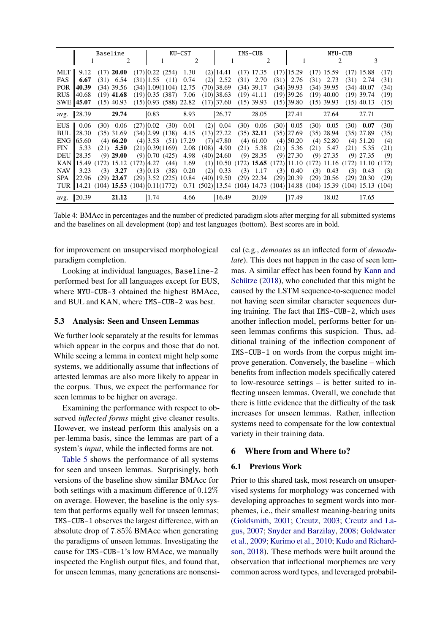<span id="page-6-0"></span>

|            |                                             | Baseline |               | KU-CST       |              |                            |                             |                                                                          |                | IMS-CUB |                                                              | NYU-CUB |                |  |              |  |              |       |
|------------|---------------------------------------------|----------|---------------|--------------|--------------|----------------------------|-----------------------------|--------------------------------------------------------------------------|----------------|---------|--------------------------------------------------------------|---------|----------------|--|--------------|--|--------------|-------|
|            |                                             |          |               | 2            |              |                            | $\mathcal{D}_{\mathcal{L}}$ |                                                                          |                | 2       |                                                              |         | 3              |  |              |  |              |       |
| MLT        | 9.12                                        |          | $(17)$ 20.00  |              |              | $(17)$ 0.22 $(254)$        | 1.30                        |                                                                          | $(2)$   14.41  |         | $(17)$ 17.35                                                 |         | $(17)$   15.29 |  | $(17)$ 15.59 |  | $(17)$ 15.88 | (17)  |
| FAS        | 6.67                                        |          | $(31)$ 6.54   |              | $(31)$  1.55 | (11)                       | 0.74                        | (2)                                                                      | 2.52           |         | $(31)$ 2.70                                                  | (31)    | 2.76           |  | $(31)$ 2.73  |  | $(31)$ 2.74  | (31)  |
| POR 1      | 40.39                                       |          | $(34)$ 39.56  |              |              | $(34)$   1.09(1104) 12.75  |                             |                                                                          | $(70)$ 38.69   |         | $(34)$ 39.17                                                 |         | $(34)$  39.93  |  | $(34)$ 39.95 |  | $(34)$ 40.07 | (34)  |
| <b>RUS</b> | 40.68                                       |          | $(19)$ 41.68  |              |              | $(19)$ 0.35 $(387)$        | 7.06                        |                                                                          | $(10)$  38.63  |         | $(19)$ 41.11                                                 |         | $(19)$  39.26  |  | $(19)$ 40.00 |  | $(19)$ 39.74 | (19)  |
|            | SWE   45.07                                 |          | $(15)$ 40.93  |              |              | $(15)$  0.93 (588) 22.82   |                             |                                                                          | $(17)$  37.60  |         | $(15)$ 39.93                                                 |         | $(15)$  39.80  |  | $(15)$ 39.93 |  | $(15)$ 40.13 | (15)  |
|            | avg. 28.39                                  |          | 29.74         |              | 0.83         |                            | 8.93                        |                                                                          | 26.37          |         | 28.05                                                        |         | 27.41          |  | 27.64        |  | 27.71        |       |
| EUS        | 0.06                                        |          | $(30)$ 0.06   |              | $(27)$ 0.02  | (30)                       | 0.01                        | (2)                                                                      | 0.04           |         | $(30)$ 0.06                                                  |         | $(30)$ 0.05    |  | $(30)$ 0.05  |  | $(30)$ 0.07  | (30)  |
| BUL        | 28.30                                       |          | $(35)$ 31.69  |              |              | $(34)$  2.99 (138)         | 4.15                        |                                                                          | $(13)$  27.22  |         | $(35)$ 32.11                                                 |         | (35) 27.69     |  | $(35)$ 28.94 |  | $(35)$ 27.89 | (35)  |
| ENG        | 65.60                                       |          | $(4)$ 66.20   |              | $(4)$ 3.53   | (51)                       | 17.29                       |                                                                          | $(7)$  47.80   |         | $(4)$ 61.00                                                  |         | $(4)$  50.20   |  | $(4)$ 52.80  |  | $(4)$ 51.20  | (4)   |
| <b>FIN</b> | 5.33                                        |          | $(21)$ 5.50   |              |              | $(21)$ 0.39 $(1169)$       | 2.08                        | (108)                                                                    | 4.90           |         | $(21)$ 5.38                                                  | (21)    | 5.36           |  | $(21)$ 5.47  |  | $(21)$ 5.35  | (21)  |
| DEU        | 128.35                                      |          | $(9)$ 29.00   |              |              | $(9)$ 0.70 $(425)$         | 4.98                        |                                                                          | $(40)$  24.60  |         | $(9)$ 28.35                                                  |         | $(9)$  27.30   |  | $(9)$ 27.35  |  | $(9)$ 27.35  | (9)   |
|            | KAN  15.49                                  |          | $(172)$ 15.12 | $(172)$ 4.27 |              | (44)                       | 1.69                        |                                                                          |                |         | $(1)$  10.50 (172) 15.65 (172) 11.10 (172) 11.16 (172) 11.10 |         |                |  |              |  |              | (172) |
| <b>NAV</b> | 3.23                                        | (3)      | 3.27          |              | $(3)$ 0.13   | (38)                       | 0.20                        | (2)                                                                      | 0.33           |         | $(3)$ 1.17                                                   | (3)     | 0.40           |  | $(3)$ 0.43   |  | $(3)$ 0.43   | (3)   |
| SPA        | 122.96                                      |          | $(29)$ 23.67  |              |              | $(29)$  3.52 $(225)$ 10.84 |                             |                                                                          | $(40)$   19.50 |         | $(29)$ 22.34                                                 |         | $(29)$  20.39  |  | $(29)$ 20.56 |  | $(29)$ 20.30 | (29)  |
|            | TUR   14.21 (104) 15.53 (104) $ 0.11(1772)$ |          |               |              |              |                            |                             | $0.71$ (502) 13.54 (104) 14.73 (104) 14.88 (104) 15.39 (104) 15.13 (104) |                |         |                                                              |         |                |  |              |  |              |       |
|            | avg. $  20.39$                              |          | 21.12         |              | 1.74         |                            | 4.66                        |                                                                          | 16.49          |         | 20.09                                                        |         | 17.49          |  | 18.02        |  | 17.65        |       |

Table 4: BMAcc in percentages and the number of predicted paradigm slots after merging for all submitted systems and the baselines on all development (top) and test languages (bottom). Best scores are in bold.

for improvement on unsupervised morphological paradigm completion.

Looking at individual languages, Baseline-2 performed best for all languages except for EUS, where NYU-CUB-3 obtained the highest BMAcc, and BUL and KAN, where IMS-CUB-2 was best.

## 5.3 Analysis: Seen and Unseen Lemmas

We further look separately at the results for lemmas which appear in the corpus and those that do not. While seeing a lemma in context might help some systems, we additionally assume that inflections of attested lemmas are also more likely to appear in the corpus. Thus, we expect the performance for seen lemmas to be higher on average.

Examining the performance with respect to observed *inflected forms* might give cleaner results. However, we instead perform this analysis on a per-lemma basis, since the lemmas are part of a system's *input*, while the inflected forms are not.

[Table 5](#page-7-0) shows the performance of all systems for seen and unseen lemmas. Surprisingly, both versions of the baseline show similar BMAcc for both settings with a maximum difference of 0.12% on average. However, the baseline is the only system that performs equally well for unseen lemmas; IMS-CUB-1 observes the largest difference, with an absolute drop of 7.85% BMAcc when generating the paradigms of unseen lemmas. Investigating the cause for IMS-CUB-1's low BMAcc, we manually inspected the English output files, and found that, for unseen lemmas, many generations are nonsensical (e.g., *demoates* as an inflected form of *demodulate*). This does not happen in the case of seen lemmas. A similar effect has been found by [Kann and](#page-9-12) Schütze  $(2018)$ , who concluded that this might be caused by the LSTM sequence-to-sequence model not having seen similar character sequences during training. The fact that IMS-CUB-2, which uses another inflection model, performs better for unseen lemmas confirms this suspicion. Thus, additional training of the inflection component of IMS-CUB-1 on words from the corpus might improve generation. Conversely, the baseline – which benefits from inflection models specifically catered to low-resource settings – is better suited to inflecting unseen lemmas. Overall, we conclude that there is little evidence that the difficulty of the task increases for unseen lemmas. Rather, inflection systems need to compensate for the low contextual variety in their training data.

## 6 Where from and Where to?

### 6.1 Previous Work

Prior to this shared task, most research on unsupervised systems for morphology was concerned with developing approaches to segment words into morphemes, i.e., their smallest meaning-bearing units [\(Goldsmith,](#page-9-13) [2001;](#page-9-13) [Creutz,](#page-9-14) [2003;](#page-9-14) [Creutz and La](#page-9-15)[gus,](#page-9-15) [2007;](#page-9-15) [Snyder and Barzilay,](#page-10-8) [2008;](#page-10-8) [Goldwater](#page-9-16) [et al.,](#page-9-16) [2009;](#page-9-16) [Kurimo et al.,](#page-10-9) [2010;](#page-10-9) [Kudo and Richard](#page-10-10)[son,](#page-10-10) [2018\)](#page-10-10). These methods were built around the observation that inflectional morphemes are very common across word types, and leveraged probabil-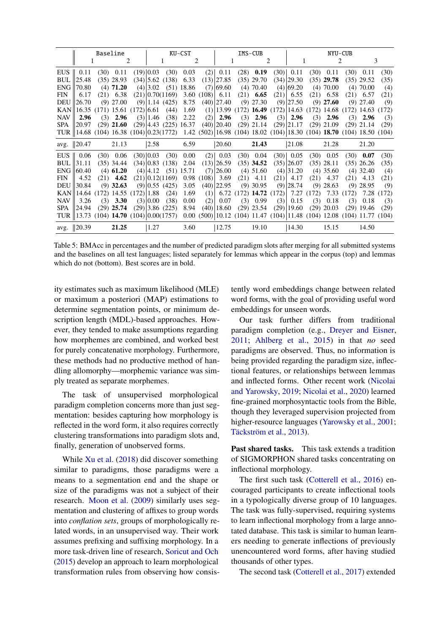<span id="page-7-0"></span>

| Baseline   |                                                                                                                      |  |              |        | KU-CST       |                          |          |                  | IMS-CUB           |  |                                                                           |     | NYU-CUB         |  |              |  |              |      |
|------------|----------------------------------------------------------------------------------------------------------------------|--|--------------|--------|--------------|--------------------------|----------|------------------|-------------------|--|---------------------------------------------------------------------------|-----|-----------------|--|--------------|--|--------------|------|
|            |                                                                                                                      |  |              | 2<br>1 |              | 2<br>1                   |          |                  | 2<br>$\mathbf{1}$ |  |                                                                           | 3   |                 |  |              |  |              |      |
|            | EUS $\parallel$ 0.11                                                                                                 |  | $(30)$ 0.11  |        | $(19)$ 0.03  | (30)                     | 0.03     |                  | $(2)$ 0.11        |  | $(28)$ 0.19                                                               |     | $(30)$ 0.11     |  | $(30)$ 0.11  |  | $(30)$ 0.11  | (30) |
|            | $BUL$   25.48                                                                                                        |  | $(35)$ 28.93 |        |              | $(34)$  5.62 (138)       | 6.33     |                  | $(13)$  27.85     |  | $(35)$ 29.70                                                              |     | $(34)$  29.30   |  | $(35)$ 29.78 |  | $(35)$ 29.52 | (35) |
| ENG        | 70.80                                                                                                                |  | $(4)$ 71.20  |        |              | $(4)$  3.02 (51) 18.86   |          |                  | $(7)$ 69.60       |  | $(4)$ 70.40                                                               |     | $(4)$ 69.20     |  | $(4)$ 70.00  |  | $(4)$ 70.00  | (4)  |
| FIN        | 6.17                                                                                                                 |  | $(21)$ 6.38  |        |              | $(21)$ 0.70(1169)        |          | $3.60(108)$ 6.11 |                   |  | $(21)$ 6.65                                                               |     | $(21)$ 6.55     |  | $(21)$ 6.58  |  | $(21)$ 6.57  | (21) |
| DEU        | 26.70                                                                                                                |  | $(9)$ 27.00  |        |              | $(9)$   1.14 $(425)$     | 8.75     |                  | $(40)$  27.40     |  | $(9)$ 27.30                                                               |     | $(9)$  27.50    |  | $(9)$ 27.60  |  | $(9)$ 27.40  | (9)  |
|            | KAN  16.35 (171) 15.61 (172) 6.61                                                                                    |  |              |        |              | (44)                     | 1.69     |                  |                   |  | $(1)$  13.99 (172) <b>16.49</b> (172) 14.63 (172) 14.68 (172) 14.63 (172) |     |                 |  |              |  |              |      |
| <b>NAV</b> | 2.96                                                                                                                 |  | $(3)$ 2.96   |        | $(3)$   1.46 | (38)                     | 2.22     | (2)              | 2.96              |  | $(3)$ 2.96                                                                |     | $(3)$ 2.96      |  | $(3)$ 2.96   |  | $(3)$ 2.96   | (3)  |
| SPA        | 20.97                                                                                                                |  | $(29)$ 21.60 |        |              | $(29)$  4.43 (225) 16.37 |          |                  |                   |  | $(40)$  20.40 (29) 21.14                                                  |     | $(29)$  21.17   |  | $(29)$ 21.09 |  | $(29)$ 21.14 | (29) |
|            | TUR   14.68 (104) 16.38 (104) 0.23(1772) 1.42 (502) 16.98 (104) 18.02 (104) 18.30 (104) 18.70 (104) 18.50 (104)      |  |              |        |              |                          |          |                  |                   |  |                                                                           |     |                 |  |              |  |              |      |
|            | avg.   20.47                                                                                                         |  | 21.13        |        | 2.58         |                          | 6.59     |                  | 20.60             |  | 21.43                                                                     |     | 21.08           |  | 21.28        |  | 21.20        |      |
|            | EUS $\parallel$ 0.06                                                                                                 |  | $(30)$ 0.06  |        | (30) 0.03    | (30)                     | $0.00\,$ | (2)              | 0.03              |  | $(30)$ 0.04                                                               |     | $(30)$ 0.05     |  | $(30)$ 0.05  |  | $(30)$ 0.07  | (30) |
| BUL        | 31.11                                                                                                                |  | $(35)$ 34.44 |        |              | $(34)$ 0.83 $(138)$      | 2.04     |                  | $(13)$  26.59     |  | $(35)$ 34.52                                                              |     | (35) 26.07      |  | $(35)$ 28.11 |  | $(35)$ 26.26 | (35) |
|            | $ENG$   60.40                                                                                                        |  | $(4)$ 61.20  |        |              | $(4)$  4.12 $(51)$ 15.71 |          |                  | $(7)$  26.00      |  | $(4)$ 51.60                                                               |     | $(4)$  31.20    |  | $(4)$ 35.60  |  | $(4)$ 32.40  | (4)  |
| <b>FIN</b> | 4.52                                                                                                                 |  | $(21)$ 4.62  |        |              | $(21)$ 0.12(1169)        |          | 0.98(108)        | 3.69              |  | $(21)$ 4.11                                                               |     | $(21)$ 4.17     |  | $(21)$ 4.37  |  | $(21)$ 4.13  | (21) |
| <b>DEU</b> | 30.84                                                                                                                |  | $(9)$ 32.63  |        |              | $(9)$ 0.55 (425)         | 3.05     |                  | $(40)$  22.95     |  | $(9)$ 30.95                                                               |     | $(9)$  28.74    |  | $(9)$ 28.63  |  | $(9)$ 28.95  | (9)  |
|            | KAN  14.64 (172) 14.55 (172) 1.88                                                                                    |  |              |        |              | (24)                     | 1.69     | (1)              |                   |  | 6.72 (172) 14.72 (172) 7.27 (172) 7.33 (172) 7.28 (172)                   |     |                 |  |              |  |              |      |
| <b>NAV</b> | 3.26                                                                                                                 |  | $(3)$ 3.30   |        | $(3)$ 0.00   | (38)                     | 0.00     | (2)              | 0.07              |  | $(3)$ 0.99                                                                | (3) | 0.15            |  | $(3)$ 0.18   |  | $(3)$ 0.18   | (3)  |
| SPA        | 24.94                                                                                                                |  | $(29)$ 25.74 |        |              | $(29)$ 3.86 $(225)$      | 8.94     |                  | $(40)$   18.60    |  | $(29)$ 23.54                                                              |     | $(29)$   19.60  |  | $(29)$ 20.03 |  | $(29)$ 19.46 | (29) |
|            | TUR   13.73 (104) 14.70 (104) $ 0.00(1757)$ 0.00 (500)  10.12 (104) 11.47 (104)  11.48 (104) 12.08 (104) 11.77 (104) |  |              |        |              |                          |          |                  |                   |  |                                                                           |     |                 |  |              |  |              |      |
|            | avg.   20.39                                                                                                         |  | 21.25        |        | 1.27         |                          | 3.60     |                  | 12.75             |  | 19.10                                                                     |     | $ 14.30\rangle$ |  | 15.15        |  | 14.50        |      |

Table 5: BMAcc in percentages and the number of predicted paradigm slots after merging for all submitted systems and the baselines on all test languages; listed separately for lemmas which appear in the corpus (top) and lemmas which do not (bottom). Best scores are in bold.

ity estimates such as maximum likelihood (MLE) or maximum a posteriori (MAP) estimations to determine segmentation points, or minimum description length (MDL)-based approaches. However, they tended to make assumptions regarding how morphemes are combined, and worked best for purely concatenative morphology. Furthermore, these methods had no productive method of handling allomorphy—morphemic variance was simply treated as separate morphemes.

The task of unsupervised morphological paradigm completion concerns more than just segmentation: besides capturing how morphology is reflected in the word form, it also requires correctly clustering transformations into paradigm slots and, finally, generation of unobserved forms.

While [Xu et al.](#page-11-1) [\(2018\)](#page-11-1) did discover something similar to paradigms, those paradigms were a means to a segmentation end and the shape or size of the paradigms was not a subject of their research. [Moon et al.](#page-10-11) [\(2009\)](#page-10-11) similarly uses segmentation and clustering of affixes to group words into *conflation sets*, groups of morphologically related words, in an unsupervised way. Their work assumes prefixing and suffixing morphology. In a more task-driven line of research, [Soricut and Och](#page-10-12) [\(2015\)](#page-10-12) develop an approach to learn morphological transformation rules from observing how consis-

tently word embeddings change between related word forms, with the goal of providing useful word embeddings for unseen words.

Our task further differs from traditional paradigm completion (e.g., [Dreyer and Eisner,](#page-9-17) [2011;](#page-9-17) [Ahlberg et al.,](#page-9-18) [2015\)](#page-9-18) in that *no* seed paradigms are observed. Thus, no information is being provided regarding the paradigm size, inflectional features, or relationships between lemmas and inflected forms. Other recent work [\(Nicolai](#page-10-13) [and Yarowsky,](#page-10-13) [2019;](#page-10-13) [Nicolai et al.,](#page-10-14) [2020\)](#page-10-14) learned fine-grained morphosyntactic tools from the Bible, though they leveraged supervision projected from higher-resource languages [\(Yarowsky et al.,](#page-11-2) [2001;](#page-11-2) Täckström et al., [2013\)](#page-11-3).

Past shared tasks. This task extends a tradition of SIGMORPHON shared tasks concentrating on inflectional morphology.

The first such task [\(Cotterell et al.,](#page-9-3) [2016\)](#page-9-3) encouraged participants to create inflectional tools in a typologically diverse group of 10 languages. The task was fully-supervised, requiring systems to learn inflectional morphology from a large annotated database. This task is similar to human learners needing to generate inflections of previously unencountered word forms, after having studied thousands of other types.

The second task [\(Cotterell et al.,](#page-9-8) [2017\)](#page-9-8) extended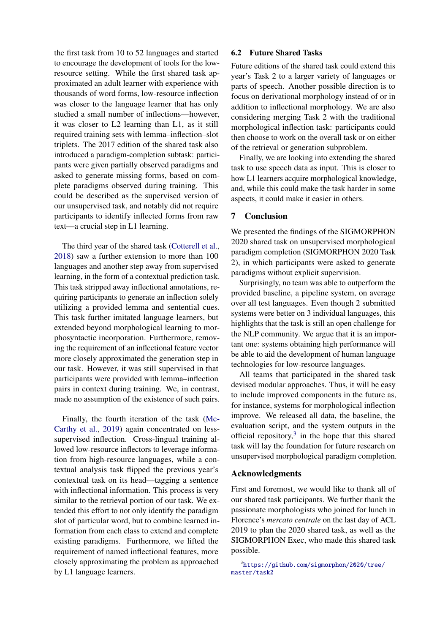the first task from 10 to 52 languages and started to encourage the development of tools for the lowresource setting. While the first shared task approximated an adult learner with experience with thousands of word forms, low-resource inflection was closer to the language learner that has only studied a small number of inflections—however, it was closer to L2 learning than L1, as it still required training sets with lemma–inflection–slot triplets. The 2017 edition of the shared task also introduced a paradigm-completion subtask: participants were given partially observed paradigms and asked to generate missing forms, based on complete paradigms observed during training. This could be described as the supervised version of our unsupervised task, and notably did not require participants to identify inflected forms from raw text—a crucial step in L1 learning.

The third year of the shared task [\(Cotterell et al.,](#page-9-19) [2018\)](#page-9-19) saw a further extension to more than 100 languages and another step away from supervised learning, in the form of a contextual prediction task. This task stripped away inflectional annotations, requiring participants to generate an inflection solely utilizing a provided lemma and sentential cues. This task further imitated language learners, but extended beyond morphological learning to morphosyntactic incorporation. Furthermore, removing the requirement of an inflectional feature vector more closely approximated the generation step in our task. However, it was still supervised in that participants were provided with lemma–inflection pairs in context during training. We, in contrast, made no assumption of the existence of such pairs.

Finally, the fourth iteration of the task [\(Mc-](#page-10-15)[Carthy et al.,](#page-10-15) [2019\)](#page-10-15) again concentrated on lesssupervised inflection. Cross-lingual training allowed low-resource inflectors to leverage information from high-resource languages, while a contextual analysis task flipped the previous year's contextual task on its head—tagging a sentence with inflectional information. This process is very similar to the retrieval portion of our task. We extended this effort to not only identify the paradigm slot of particular word, but to combine learned information from each class to extend and complete existing paradigms. Furthermore, we lifted the requirement of named inflectional features, more closely approximating the problem as approached by L1 language learners.

#### 6.2 Future Shared Tasks

Future editions of the shared task could extend this year's Task 2 to a larger variety of languages or parts of speech. Another possible direction is to focus on derivational morphology instead of or in addition to inflectional morphology. We are also considering merging Task 2 with the traditional morphological inflection task: participants could then choose to work on the overall task or on either of the retrieval or generation subproblem.

Finally, we are looking into extending the shared task to use speech data as input. This is closer to how L1 learners acquire morphological knowledge, and, while this could make the task harder in some aspects, it could make it easier in others.

### 7 Conclusion

We presented the findings of the SIGMORPHON 2020 shared task on unsupervised morphological paradigm completion (SIGMORPHON 2020 Task 2), in which participants were asked to generate paradigms without explicit supervision.

Surprisingly, no team was able to outperform the provided baseline, a pipeline system, on average over all test languages. Even though 2 submitted systems were better on 3 individual languages, this highlights that the task is still an open challenge for the NLP community. We argue that it is an important one: systems obtaining high performance will be able to aid the development of human language technologies for low-resource languages.

All teams that participated in the shared task devised modular approaches. Thus, it will be easy to include improved components in the future as, for instance, systems for morphological inflection improve. We released all data, the baseline, the evaluation script, and the system outputs in the official repository, $3$  in the hope that this shared task will lay the foundation for future research on unsupervised morphological paradigm completion.

### Acknowledgments

First and foremost, we would like to thank all of our shared task participants. We further thank the passionate morphologists who joined for lunch in Florence's *mercato centrale* on the last day of ACL 2019 to plan the 2020 shared task, as well as the SIGMORPHON Exec, who made this shared task possible.

<span id="page-8-0"></span><sup>3</sup> [https://github.com/sigmorphon/2020/tree/](https://github.com/sigmorphon/2020/tree/master/task2) [master/task2](https://github.com/sigmorphon/2020/tree/master/task2)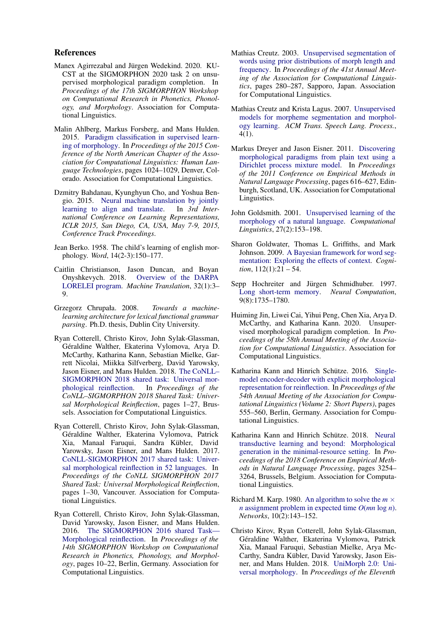#### References

- <span id="page-9-6"></span>Manex Agirrezabal and Jürgen Wedekind. 2020. KU-CST at the SIGMORPHON 2020 task 2 on unsupervised morphological paradigm completion. In *Proceedings of the 17th SIGMORPHON Workshop on Computational Research in Phonetics, Phonology, and Morphology*. Association for Computational Linguistics.
- <span id="page-9-18"></span>Malin Ahlberg, Markus Forsberg, and Mans Hulden. 2015. [Paradigm classification in supervised learn](https://doi.org/10.3115/v1/N15-1107)[ing of morphology.](https://doi.org/10.3115/v1/N15-1107) In *Proceedings of the 2015 Conference of the North American Chapter of the Association for Computational Linguistics: Human Language Technologies*, pages 1024–1029, Denver, Colorado. Association for Computational Linguistics.
- <span id="page-9-10"></span>Dzmitry Bahdanau, Kyunghyun Cho, and Yoshua Bengio. 2015. [Neural machine translation by jointly](http://arxiv.org/abs/1409.0473) [learning to align and translate.](http://arxiv.org/abs/1409.0473) In *3rd International Conference on Learning Representations, ICLR 2015, San Diego, CA, USA, May 7-9, 2015, Conference Track Proceedings*.
- <span id="page-9-0"></span>Jean Berko. 1958. The child's learning of english morphology. *Word*, 14(2-3):150–177.
- <span id="page-9-2"></span>Caitlin Christianson, Jason Duncan, and Boyan Onyshkevych. 2018. [Overview of the DARPA](https://doi.org/10.1007/s10590-017-9212-4) [LORELEI program.](https://doi.org/10.1007/s10590-017-9212-4) *Machine Translation*, 32(1):3– 9.
- <span id="page-9-7"></span>Grzegorz Chrupała. 2008. *Towards a machinelearning architecture for lexical functional grammar parsing*. Ph.D. thesis, Dublin City University.
- <span id="page-9-19"></span>Ryan Cotterell, Christo Kirov, John Sylak-Glassman, Géraldine Walther, Ekaterina Vylomova, Arya D. McCarthy, Katharina Kann, Sebastian Mielke, Garrett Nicolai, Miikka Silfverberg, David Yarowsky, Jason Eisner, and Mans Hulden. 2018. [The CoNLL–](https://doi.org/10.18653/v1/K18-3001) [SIGMORPHON 2018 shared task: Universal mor](https://doi.org/10.18653/v1/K18-3001)[phological reinflection.](https://doi.org/10.18653/v1/K18-3001) In *Proceedings of the CoNLL–SIGMORPHON 2018 Shared Task: Universal Morphological Reinflection*, pages 1–27, Brussels. Association for Computational Linguistics.
- <span id="page-9-8"></span>Ryan Cotterell, Christo Kirov, John Sylak-Glassman, Géraldine Walther, Ekaterina Vylomova, Patrick Xia, Manaal Faruqui, Sandra Kübler, David Yarowsky, Jason Eisner, and Mans Hulden. 2017. [CoNLL-SIGMORPHON 2017 shared task: Univer](https://doi.org/10.18653/v1/K17-2001)[sal morphological reinflection in 52 languages.](https://doi.org/10.18653/v1/K17-2001) In *Proceedings of the CoNLL SIGMORPHON 2017 Shared Task: Universal Morphological Reinflection*, pages 1–30, Vancouver. Association for Computational Linguistics.
- <span id="page-9-3"></span>Ryan Cotterell, Christo Kirov, John Sylak-Glassman, David Yarowsky, Jason Eisner, and Mans Hulden. 2016. [The SIGMORPHON 2016 shared Task—](https://doi.org/10.18653/v1/W16-2002) [Morphological reinflection.](https://doi.org/10.18653/v1/W16-2002) In *Proceedings of the 14th SIGMORPHON Workshop on Computational Research in Phonetics, Phonology, and Morphology*, pages 10–22, Berlin, Germany. Association for Computational Linguistics.
- <span id="page-9-14"></span>Mathias Creutz. 2003. [Unsupervised segmentation of](https://doi.org/10.3115/1075096.1075132) [words using prior distributions of morph length and](https://doi.org/10.3115/1075096.1075132) [frequency.](https://doi.org/10.3115/1075096.1075132) In *Proceedings of the 41st Annual Meeting of the Association for Computational Linguistics*, pages 280–287, Sapporo, Japan. Association for Computational Linguistics.
- <span id="page-9-15"></span>Mathias Creutz and Krista Lagus. 2007. [Unsupervised](https://doi.org/10.1145/1187415.1187418) [models for morpheme segmentation and morphol](https://doi.org/10.1145/1187415.1187418)[ogy learning.](https://doi.org/10.1145/1187415.1187418) *ACM Trans. Speech Lang. Process.*, 4(1).
- <span id="page-9-17"></span>Markus Dreyer and Jason Eisner. 2011. [Discovering](https://www.aclweb.org/anthology/D11-1057) [morphological paradigms from plain text using a](https://www.aclweb.org/anthology/D11-1057) [Dirichlet process mixture model.](https://www.aclweb.org/anthology/D11-1057) In *Proceedings of the 2011 Conference on Empirical Methods in Natural Language Processing*, pages 616–627, Edinburgh, Scotland, UK. Association for Computational Linguistics.
- <span id="page-9-13"></span>John Goldsmith. 2001. [Unsupervised learning of the](https://doi.org/10.1162/089120101750300490) [morphology of a natural language.](https://doi.org/10.1162/089120101750300490) *Computational Linguistics*, 27(2):153–198.
- <span id="page-9-16"></span>Sharon Goldwater, Thomas L. Griffiths, and Mark Johnson. 2009. [A Bayesian framework for word seg](https://doi.org/https://doi.org/10.1016/j.cognition.2009.03.008)[mentation: Exploring the effects of context.](https://doi.org/https://doi.org/10.1016/j.cognition.2009.03.008) *Cognition*, 112(1):21 – 54.
- <span id="page-9-9"></span>Sepp Hochreiter and Jürgen Schmidhuber. 1997. [Long short-term memory.](https://doi.org/10.1162/neco.1997.9.8.1735) *Neural Computation*, 9(8):1735–1780.
- <span id="page-9-1"></span>Huiming Jin, Liwei Cai, Yihui Peng, Chen Xia, Arya D. McCarthy, and Katharina Kann. 2020. Unsupervised morphological paradigm completion. In *Proceedings of the 58th Annual Meeting of the Association for Computational Linguistics*. Association for Computational Linguistics.
- <span id="page-9-11"></span>Katharina Kann and Hinrich Schütze. 2016. [Single](https://doi.org/10.18653/v1/P16-2090)[model encoder-decoder with explicit morphological](https://doi.org/10.18653/v1/P16-2090) [representation for reinflection.](https://doi.org/10.18653/v1/P16-2090) In *Proceedings of the 54th Annual Meeting of the Association for Computational Linguistics (Volume 2: Short Papers)*, pages 555–560, Berlin, Germany. Association for Computational Linguistics.
- <span id="page-9-12"></span>Katharina Kann and Hinrich Schütze. 2018. [Neural](https://doi.org/10.18653/v1/D18-1363) [transductive learning and beyond: Morphological](https://doi.org/10.18653/v1/D18-1363) [generation in the minimal-resource setting.](https://doi.org/10.18653/v1/D18-1363) In *Proceedings of the 2018 Conference on Empirical Methods in Natural Language Processing*, pages 3254– 3264, Brussels, Belgium. Association for Computational Linguistics.
- <span id="page-9-4"></span>Richard M. Karp. 1980. [An algorithm to solve the](https://doi.org/10.1002/net.3230100205)  $m \times$ *n* [assignment problem in expected time](https://doi.org/10.1002/net.3230100205) *O*(*mn* log *n*). *Networks*, 10(2):143–152.
- <span id="page-9-5"></span>Christo Kirov, Ryan Cotterell, John Sylak-Glassman, Géraldine Walther, Ekaterina Vylomova, Patrick Xia, Manaal Faruqui, Sebastian Mielke, Arya Mc-Carthy, Sandra Kübler, David Yarowsky, Jason Eisner, and Mans Hulden. 2018. [UniMorph 2.0: Uni](https://www.aclweb.org/anthology/L18-1293)[versal morphology.](https://www.aclweb.org/anthology/L18-1293) In *Proceedings of the Eleventh*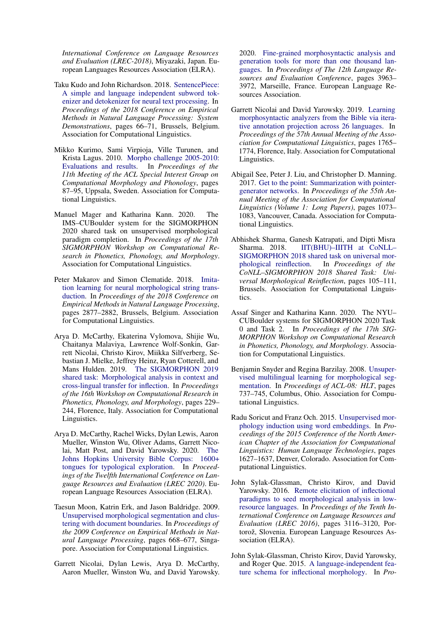*International Conference on Language Resources and Evaluation (LREC-2018)*, Miyazaki, Japan. European Languages Resources Association (ELRA).

- <span id="page-10-10"></span>Taku Kudo and John Richardson. 2018. [SentencePiece:](https://doi.org/10.18653/v1/D18-2012) [A simple and language independent subword tok](https://doi.org/10.18653/v1/D18-2012)[enizer and detokenizer for neural text processing.](https://doi.org/10.18653/v1/D18-2012) In *Proceedings of the 2018 Conference on Empirical Methods in Natural Language Processing: System Demonstrations*, pages 66–71, Brussels, Belgium. Association for Computational Linguistics.
- <span id="page-10-9"></span>Mikko Kurimo, Sami Virpioja, Ville Turunen, and Krista Lagus. 2010. [Morpho challenge 2005-2010:](https://www.aclweb.org/anthology/W10-2211) [Evaluations and results.](https://www.aclweb.org/anthology/W10-2211) In *Proceedings of the 11th Meeting of the ACL Special Interest Group on Computational Morphology and Phonology*, pages 87–95, Uppsala, Sweden. Association for Computational Linguistics.
- <span id="page-10-3"></span>Manuel Mager and Katharina Kann. 2020. The IMS–CUBoulder system for the SIGMORPHON 2020 shared task on unsupervised morphological paradigm completion. In *Proceedings of the 17th SIGMORPHON Workshop on Computational Research in Phonetics, Phonology, and Morphology*. Association for Computational Linguistics.
- <span id="page-10-5"></span>Peter Makarov and Simon Clematide. 2018. [Imita](https://doi.org/10.18653/v1/D18-1314)[tion learning for neural morphological string trans](https://doi.org/10.18653/v1/D18-1314)[duction.](https://doi.org/10.18653/v1/D18-1314) In *Proceedings of the 2018 Conference on Empirical Methods in Natural Language Processing*, pages 2877–2882, Brussels, Belgium. Association for Computational Linguistics.
- <span id="page-10-15"></span>Arya D. McCarthy, Ekaterina Vylomova, Shijie Wu, Chaitanya Malaviya, Lawrence Wolf-Sonkin, Garrett Nicolai, Christo Kirov, Miikka Silfverberg, Sebastian J. Mielke, Jeffrey Heinz, Ryan Cotterell, and Mans Hulden. 2019. [The SIGMORPHON 2019](https://doi.org/10.18653/v1/W19-4226) [shared task: Morphological analysis in context and](https://doi.org/10.18653/v1/W19-4226) [cross-lingual transfer for inflection.](https://doi.org/10.18653/v1/W19-4226) In *Proceedings of the 16th Workshop on Computational Research in Phonetics, Phonology, and Morphology*, pages 229– 244, Florence, Italy. Association for Computational Linguistics.
- <span id="page-10-1"></span>Arya D. McCarthy, Rachel Wicks, Dylan Lewis, Aaron Mueller, Winston Wu, Oliver Adams, Garrett Nicolai, Matt Post, and David Yarowsky. 2020. [The](https://www.aclweb.org/anthology/2020.lrec-1.352) [Johns Hopkins University Bible Corpus: 1600+](https://www.aclweb.org/anthology/2020.lrec-1.352) [tongues for typological exploration.](https://www.aclweb.org/anthology/2020.lrec-1.352) In *Proceedings of the Twelfth International Conference on Language Resources and Evaluation (LREC 2020)*. European Language Resources Association (ELRA).
- <span id="page-10-11"></span>Taesun Moon, Katrin Erk, and Jason Baldridge. 2009. [Unsupervised morphological segmentation and clus](https://www.aclweb.org/anthology/D09-1070)[tering with document boundaries.](https://www.aclweb.org/anthology/D09-1070) In *Proceedings of the 2009 Conference on Empirical Methods in Natural Language Processing*, pages 668–677, Singapore. Association for Computational Linguistics.
- <span id="page-10-14"></span>Garrett Nicolai, Dylan Lewis, Arya D. McCarthy, Aaron Mueller, Winston Wu, and David Yarowsky.

2020. [Fine-grained morphosyntactic analysis and](https://www.aclweb.org/anthology/2020.lrec-1.488) [generation tools for more than one thousand lan](https://www.aclweb.org/anthology/2020.lrec-1.488)[guages.](https://www.aclweb.org/anthology/2020.lrec-1.488) In *Proceedings of The 12th Language Resources and Evaluation Conference*, pages 3963– 3972, Marseille, France. European Language Resources Association.

- <span id="page-10-13"></span>Garrett Nicolai and David Yarowsky. 2019. [Learning](https://doi.org/10.18653/v1/P19-1172) [morphosyntactic analyzers from the Bible via itera](https://doi.org/10.18653/v1/P19-1172)[tive annotation projection across 26 languages.](https://doi.org/10.18653/v1/P19-1172) In *Proceedings of the 57th Annual Meeting of the Association for Computational Linguistics*, pages 1765– 1774, Florence, Italy. Association for Computational Linguistics.
- <span id="page-10-6"></span>Abigail See, Peter J. Liu, and Christopher D. Manning. 2017. [Get to the point: Summarization with pointer](https://doi.org/10.18653/v1/P17-1099)[generator networks.](https://doi.org/10.18653/v1/P17-1099) In *Proceedings of the 55th Annual Meeting of the Association for Computational Linguistics (Volume 1: Long Papers)*, pages 1073– 1083, Vancouver, Canada. Association for Computational Linguistics.
- <span id="page-10-7"></span>Abhishek Sharma, Ganesh Katrapati, and Dipti Misra Sharma. 2018. IIT(BHU)-IIITH at CoNLL-[SIGMORPHON 2018 shared task on universal mor](https://doi.org/10.18653/v1/K18-3013)[phological reinflection.](https://doi.org/10.18653/v1/K18-3013) In *Proceedings of the CoNLL–SIGMORPHON 2018 Shared Task: Universal Morphological Reinflection*, pages 105–111, Brussels. Association for Computational Linguistics.
- <span id="page-10-4"></span>Assaf Singer and Katharina Kann. 2020. The NYU– CUBoulder systems for SIGMORPHON 2020 Task 0 and Task 2. In *Proceedings of the 17th SIG-MORPHON Workshop on Computational Research in Phonetics, Phonology, and Morphology*. Association for Computational Linguistics.
- <span id="page-10-8"></span>Benjamin Snyder and Regina Barzilay. 2008. [Unsuper](https://www.aclweb.org/anthology/P08-1084)[vised multilingual learning for morphological seg](https://www.aclweb.org/anthology/P08-1084)[mentation.](https://www.aclweb.org/anthology/P08-1084) In *Proceedings of ACL-08: HLT*, pages 737–745, Columbus, Ohio. Association for Computational Linguistics.
- <span id="page-10-12"></span>Radu Soricut and Franz Och. 2015. [Unsupervised mor](https://doi.org/10.3115/v1/N15-1186)[phology induction using word embeddings.](https://doi.org/10.3115/v1/N15-1186) In *Proceedings of the 2015 Conference of the North American Chapter of the Association for Computational Linguistics: Human Language Technologies*, pages 1627–1637, Denver, Colorado. Association for Computational Linguistics.
- <span id="page-10-0"></span>John Sylak-Glassman, Christo Kirov, and David Yarowsky. 2016. [Remote elicitation of inflectional](https://www.aclweb.org/anthology/L16-1497) [paradigms to seed morphological analysis in low](https://www.aclweb.org/anthology/L16-1497)[resource languages.](https://www.aclweb.org/anthology/L16-1497) In *Proceedings of the Tenth International Conference on Language Resources and Evaluation (LREC 2016)*, pages 3116–3120, Portorož, Slovenia. European Language Resources Association (ELRA).
- <span id="page-10-2"></span>John Sylak-Glassman, Christo Kirov, David Yarowsky, and Roger Que. 2015. [A language-independent fea](https://doi.org/10.3115/v1/P15-2111)[ture schema for inflectional morphology.](https://doi.org/10.3115/v1/P15-2111) In *Pro-*